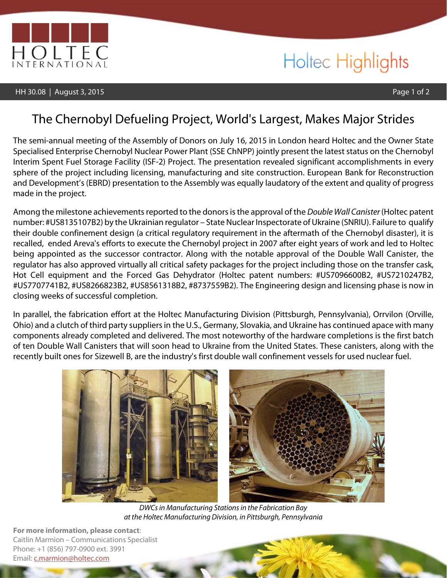

# Holtec Highlights

### The Chernobyl Defueling Project, World's Largest, Makes Major Strides

The semi-annual meeting of the Assembly of Donors on July 16, 2015 in London heard Holtec and the Owner State Specialised Enterprise Chernobyl Nuclear Power Plant (SSE ChNPP) jointly present the latest status on the Chernobyl Interim Spent Fuel Storage Facility (ISF-2) Project. The presentation revealed significant accomplishments in every sphere of the project including licensing, manufacturing and site construction. European Bank for Reconstruction and Development's(EBRD) presentation to the Assembly was equally laudatory of the extent and quality of progress made in the project.

Among the milestone achievements reported to the donors is the approval of the *Double Wall Canister* (Holtec patent number: #US8135107B2) by the Ukrainian regulator – State Nuclear Inspectorate of Ukraine (SNRIU). Failure to qualify their double confinement design (a critical regulatory requirement in the aftermath of the Chernobyl disaster), it is recalled, ended Areva's efforts to execute the Chernobyl project in 2007 after eight years of work and led to Holtec being appointed as the successor contractor. Along with the notable approval of the Double Wall Canister, the regulator has also approved virtually all critical safety packages for the project including those on the transfer cask, Hot Cell equipment and the Forced Gas Dehydrator (Holtec patent numbers: #US7096600B2, #US7210247B2, #US7707741B2, #US8266823B2, #US8561318B2, #8737559B2). The Engineering design and licensing phase is now in closing weeks of successful completion.

In parallel, the fabrication effort at the Holtec Manufacturing Division (Pittsburgh, Pennsylvania), Orrvilon (Orville, Ohio) and a clutch of third party suppliers in the U.S., Germany, Slovakia, and Ukraine has continued apace with many components already completed and delivered. The most noteworthy of the hardware completions is the first batch of ten Double Wall Canisters that will soon head to Ukraine from the United States. These canisters, along with the recently built ones for Sizewell B, are the industry's first double wall confinement vessels for used nuclear fuel.



 *DWCsin Manufacturing Stationsin the Fabrication Bay at the Holtec Manufacturing Division, in Pittsburgh, Pennsylvania*

**For more information, please contact**: Caitlin Marmion – Communications Specialist Phone: +1 (856) 797-0900 ext. 3991 Email: [c.marmion@holtec.com](mailto:c.marmion@holtec.com)